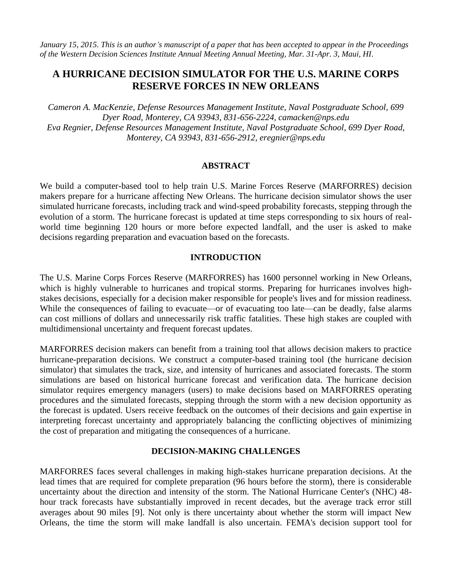*January 15, 2015. This is an author's manuscript of a paper that has been accepted to appear in the Proceedings of the Western Decision Sciences Institute Annual Meeting Annual Meeting, Mar. 31-Apr. 3, Maui, HI*.

# **A HURRICANE DECISION SIMULATOR FOR THE U.S. MARINE CORPS RESERVE FORCES IN NEW ORLEANS**

*Cameron A. MacKenzie, Defense Resources Management Institute, Naval Postgraduate School, 699 Dyer Road, Monterey, CA 93943, 831-656-2224, camacken@nps.edu Eva Regnier, Defense Resources Management Institute, Naval Postgraduate School, 699 Dyer Road, Monterey, CA 93943, 831-656-2912, eregnier@nps.edu*

#### **ABSTRACT**

We build a computer-based tool to help train U.S. Marine Forces Reserve (MARFORRES) decision makers prepare for a hurricane affecting New Orleans. The hurricane decision simulator shows the user simulated hurricane forecasts, including track and wind-speed probability forecasts, stepping through the evolution of a storm. The hurricane forecast is updated at time steps corresponding to six hours of realworld time beginning 120 hours or more before expected landfall, and the user is asked to make decisions regarding preparation and evacuation based on the forecasts.

#### **INTRODUCTION**

The U.S. Marine Corps Forces Reserve (MARFORRES) has 1600 personnel working in New Orleans, which is highly vulnerable to hurricanes and tropical storms. Preparing for hurricanes involves highstakes decisions, especially for a decision maker responsible for people's lives and for mission readiness. While the consequences of failing to evacuate—or of evacuating too late—can be deadly, false alarms can cost millions of dollars and unnecessarily risk traffic fatalities. These high stakes are coupled with multidimensional uncertainty and frequent forecast updates.

MARFORRES decision makers can benefit from a training tool that allows decision makers to practice hurricane-preparation decisions. We construct a computer-based training tool (the hurricane decision simulator) that simulates the track, size, and intensity of hurricanes and associated forecasts. The storm simulations are based on historical hurricane forecast and verification data. The hurricane decision simulator requires emergency managers (users) to make decisions based on MARFORRES operating procedures and the simulated forecasts, stepping through the storm with a new decision opportunity as the forecast is updated. Users receive feedback on the outcomes of their decisions and gain expertise in interpreting forecast uncertainty and appropriately balancing the conflicting objectives of minimizing the cost of preparation and mitigating the consequences of a hurricane.

#### **DECISION-MAKING CHALLENGES**

MARFORRES faces several challenges in making high-stakes hurricane preparation decisions. At the lead times that are required for complete preparation (96 hours before the storm), there is considerable uncertainty about the direction and intensity of the storm. The National Hurricane Center's (NHC) 48 hour track forecasts have substantially improved in recent decades, but the average track error still averages about 90 miles [9]. Not only is there uncertainty about whether the storm will impact New Orleans, the time the storm will make landfall is also uncertain. FEMA's decision support tool for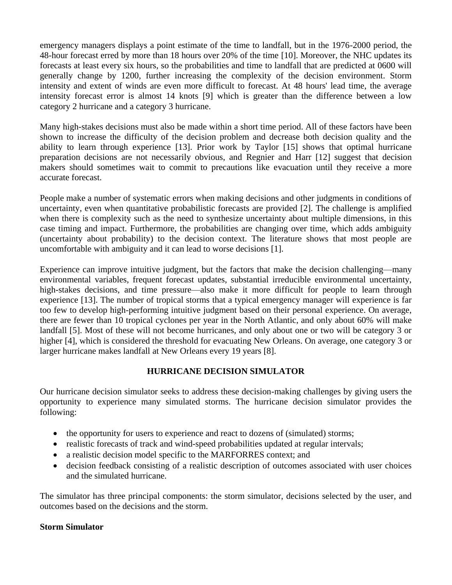emergency managers displays a point estimate of the time to landfall, but in the 1976-2000 period, the 48-hour forecast erred by more than 18 hours over 20% of the time [10]. Moreover, the NHC updates its forecasts at least every six hours, so the probabilities and time to landfall that are predicted at 0600 will generally change by 1200, further increasing the complexity of the decision environment. Storm intensity and extent of winds are even more difficult to forecast. At 48 hours' lead time, the average intensity forecast error is almost 14 knots [9] which is greater than the difference between a low category 2 hurricane and a category 3 hurricane.

Many high-stakes decisions must also be made within a short time period. All of these factors have been shown to increase the difficulty of the decision problem and decrease both decision quality and the ability to learn through experience [13]. Prior work by Taylor [15] shows that optimal hurricane preparation decisions are not necessarily obvious, and Regnier and Harr [12] suggest that decision makers should sometimes wait to commit to precautions like evacuation until they receive a more accurate forecast.

People make a number of systematic errors when making decisions and other judgments in conditions of uncertainty, even when quantitative probabilistic forecasts are provided [2]. The challenge is amplified when there is complexity such as the need to synthesize uncertainty about multiple dimensions, in this case timing and impact. Furthermore, the probabilities are changing over time, which adds ambiguity (uncertainty about probability) to the decision context. The literature shows that most people are uncomfortable with ambiguity and it can lead to worse decisions [1].

Experience can improve intuitive judgment, but the factors that make the decision challenging—many environmental variables, frequent forecast updates, substantial irreducible environmental uncertainty, high-stakes decisions, and time pressure—also make it more difficult for people to learn through experience [13]. The number of tropical storms that a typical emergency manager will experience is far too few to develop high-performing intuitive judgment based on their personal experience. On average, there are fewer than 10 tropical cyclones per year in the North Atlantic, and only about 60% will make landfall [5]. Most of these will not become hurricanes, and only about one or two will be category 3 or higher [4], which is considered the threshold for evacuating New Orleans. On average, one category 3 or larger hurricane makes landfall at New Orleans every 19 years [8].

# **HURRICANE DECISION SIMULATOR**

Our hurricane decision simulator seeks to address these decision-making challenges by giving users the opportunity to experience many simulated storms. The hurricane decision simulator provides the following:

- the opportunity for users to experience and react to dozens of (simulated) storms;
- realistic forecasts of track and wind-speed probabilities updated at regular intervals;
- a realistic decision model specific to the MARFORRES context; and
- decision feedback consisting of a realistic description of outcomes associated with user choices and the simulated hurricane.

The simulator has three principal components: the storm simulator, decisions selected by the user, and outcomes based on the decisions and the storm.

# **Storm Simulator**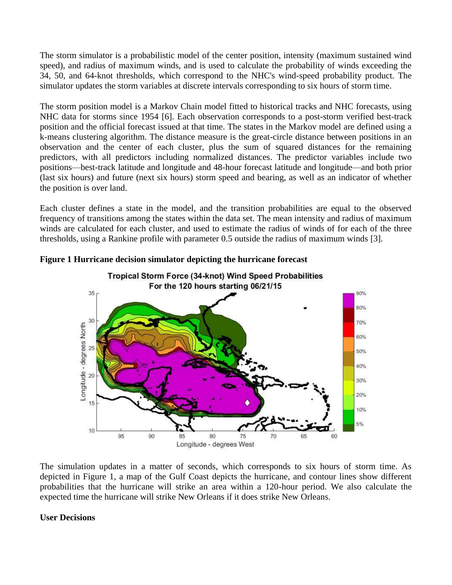The storm simulator is a probabilistic model of the center position, intensity (maximum sustained wind speed), and radius of maximum winds, and is used to calculate the probability of winds exceeding the 34, 50, and 64-knot thresholds, which correspond to the NHC's wind-speed probability product. The simulator updates the storm variables at discrete intervals corresponding to six hours of storm time.

The storm position model is a Markov Chain model fitted to historical tracks and NHC forecasts, using NHC data for storms since 1954 [6]. Each observation corresponds to a post-storm verified best-track position and the official forecast issued at that time. The states in the Markov model are defined using a k-means clustering algorithm. The distance measure is the great-circle distance between positions in an observation and the center of each cluster, plus the sum of squared distances for the remaining predictors, with all predictors including normalized distances. The predictor variables include two positions—best-track latitude and longitude and 48-hour forecast latitude and longitude—and both prior (last six hours) and future (next six hours) storm speed and bearing, as well as an indicator of whether the position is over land.

Each cluster defines a state in the model, and the transition probabilities are equal to the observed frequency of transitions among the states within the data set. The mean intensity and radius of maximum winds are calculated for each cluster, and used to estimate the radius of winds of for each of the three thresholds, using a Rankine profile with parameter 0.5 outside the radius of maximum winds [3].



**Figure 1 Hurricane decision simulator depicting the hurricane forecast**

The simulation updates in a matter of seconds, which corresponds to six hours of storm time. As depicted in Figure 1, a map of the Gulf Coast depicts the hurricane, and contour lines show different probabilities that the hurricane will strike an area within a 120-hour period. We also calculate the expected time the hurricane will strike New Orleans if it does strike New Orleans.

# **User Decisions**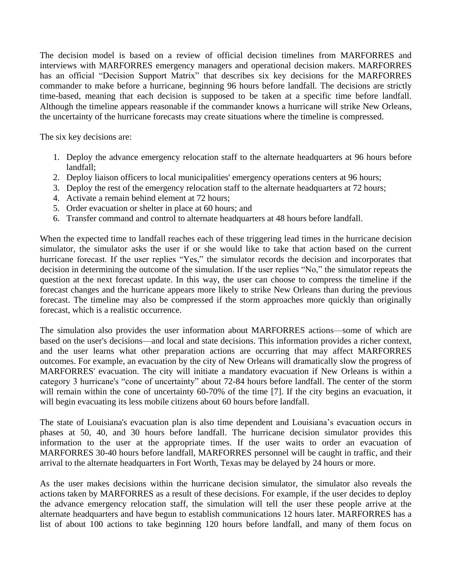The decision model is based on a review of official decision timelines from MARFORRES and interviews with MARFORRES emergency managers and operational decision makers. MARFORRES has an official "Decision Support Matrix" that describes six key decisions for the MARFORRES commander to make before a hurricane, beginning 96 hours before landfall. The decisions are strictly time-based, meaning that each decision is supposed to be taken at a specific time before landfall. Although the timeline appears reasonable if the commander knows a hurricane will strike New Orleans, the uncertainty of the hurricane forecasts may create situations where the timeline is compressed.

The six key decisions are:

- 1. Deploy the advance emergency relocation staff to the alternate headquarters at 96 hours before landfall;
- 2. Deploy liaison officers to local municipalities' emergency operations centers at 96 hours;
- 3. Deploy the rest of the emergency relocation staff to the alternate headquarters at 72 hours;
- 4. Activate a remain behind element at 72 hours;
- 5. Order evacuation or shelter in place at 60 hours; and
- 6. Transfer command and control to alternate headquarters at 48 hours before landfall.

When the expected time to landfall reaches each of these triggering lead times in the hurricane decision simulator, the simulator asks the user if or she would like to take that action based on the current hurricane forecast. If the user replies "Yes," the simulator records the decision and incorporates that decision in determining the outcome of the simulation. If the user replies "No," the simulator repeats the question at the next forecast update. In this way, the user can choose to compress the timeline if the forecast changes and the hurricane appears more likely to strike New Orleans than during the previous forecast. The timeline may also be compressed if the storm approaches more quickly than originally forecast, which is a realistic occurrence.

The simulation also provides the user information about MARFORRES actions—some of which are based on the user's decisions—and local and state decisions. This information provides a richer context, and the user learns what other preparation actions are occurring that may affect MARFORRES outcomes. For example, an evacuation by the city of New Orleans will dramatically slow the progress of MARFORRES' evacuation. The city will initiate a mandatory evacuation if New Orleans is within a category 3 hurricane's "cone of uncertainty" about 72-84 hours before landfall. The center of the storm will remain within the cone of uncertainty 60-70% of the time [7]. If the city begins an evacuation, it will begin evacuating its less mobile citizens about 60 hours before landfall.

The state of Louisiana's evacuation plan is also time dependent and Louisiana's evacuation occurs in phases at 50, 40, and 30 hours before landfall. The hurricane decision simulator provides this information to the user at the appropriate times. If the user waits to order an evacuation of MARFORRES 30-40 hours before landfall, MARFORRES personnel will be caught in traffic, and their arrival to the alternate headquarters in Fort Worth, Texas may be delayed by 24 hours or more.

As the user makes decisions within the hurricane decision simulator, the simulator also reveals the actions taken by MARFORRES as a result of these decisions. For example, if the user decides to deploy the advance emergency relocation staff, the simulation will tell the user these people arrive at the alternate headquarters and have begun to establish communications 12 hours later. MARFORRES has a list of about 100 actions to take beginning 120 hours before landfall, and many of them focus on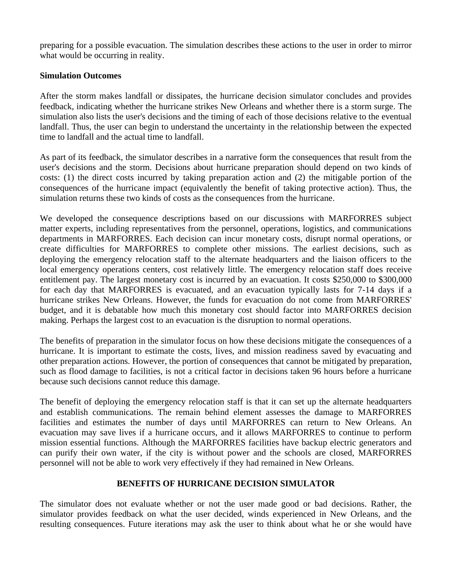preparing for a possible evacuation. The simulation describes these actions to the user in order to mirror what would be occurring in reality.

### **Simulation Outcomes**

After the storm makes landfall or dissipates, the hurricane decision simulator concludes and provides feedback, indicating whether the hurricane strikes New Orleans and whether there is a storm surge. The simulation also lists the user's decisions and the timing of each of those decisions relative to the eventual landfall. Thus, the user can begin to understand the uncertainty in the relationship between the expected time to landfall and the actual time to landfall.

As part of its feedback, the simulator describes in a narrative form the consequences that result from the user's decisions and the storm. Decisions about hurricane preparation should depend on two kinds of costs: (1) the direct costs incurred by taking preparation action and (2) the mitigable portion of the consequences of the hurricane impact (equivalently the benefit of taking protective action). Thus, the simulation returns these two kinds of costs as the consequences from the hurricane.

We developed the consequence descriptions based on our discussions with MARFORRES subject matter experts, including representatives from the personnel, operations, logistics, and communications departments in MARFORRES. Each decision can incur monetary costs, disrupt normal operations, or create difficulties for MARFORRES to complete other missions. The earliest decisions, such as deploying the emergency relocation staff to the alternate headquarters and the liaison officers to the local emergency operations centers, cost relatively little. The emergency relocation staff does receive entitlement pay. The largest monetary cost is incurred by an evacuation. It costs \$250,000 to \$300,000 for each day that MARFORRES is evacuated, and an evacuation typically lasts for 7-14 days if a hurricane strikes New Orleans. However, the funds for evacuation do not come from MARFORRES' budget, and it is debatable how much this monetary cost should factor into MARFORRES decision making. Perhaps the largest cost to an evacuation is the disruption to normal operations.

The benefits of preparation in the simulator focus on how these decisions mitigate the consequences of a hurricane. It is important to estimate the costs, lives, and mission readiness saved by evacuating and other preparation actions. However, the portion of consequences that cannot be mitigated by preparation, such as flood damage to facilities, is not a critical factor in decisions taken 96 hours before a hurricane because such decisions cannot reduce this damage.

The benefit of deploying the emergency relocation staff is that it can set up the alternate headquarters and establish communications. The remain behind element assesses the damage to MARFORRES facilities and estimates the number of days until MARFORRES can return to New Orleans. An evacuation may save lives if a hurricane occurs, and it allows MARFORRES to continue to perform mission essential functions. Although the MARFORRES facilities have backup electric generators and can purify their own water, if the city is without power and the schools are closed, MARFORRES personnel will not be able to work very effectively if they had remained in New Orleans.

# **BENEFITS OF HURRICANE DECISION SIMULATOR**

The simulator does not evaluate whether or not the user made good or bad decisions. Rather, the simulator provides feedback on what the user decided, winds experienced in New Orleans, and the resulting consequences. Future iterations may ask the user to think about what he or she would have